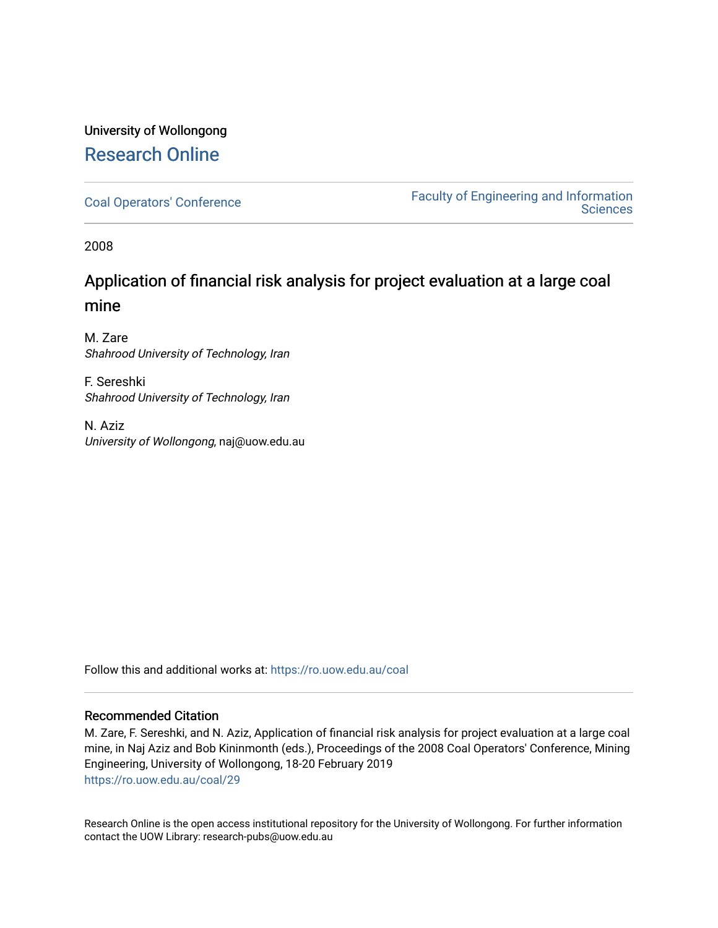# University of Wollongong [Research Online](https://ro.uow.edu.au/)

[Coal Operators' Conference](https://ro.uow.edu.au/coal) [Faculty of Engineering and Information](https://ro.uow.edu.au/eis)  **Sciences** 

2008

# Application of financial risk analysis for project evaluation at a large coal mine

M. Zare Shahrood University of Technology, Iran

F. Sereshki Shahrood University of Technology, Iran

N. Aziz University of Wollongong, naj@uow.edu.au

Follow this and additional works at: [https://ro.uow.edu.au/coal](https://ro.uow.edu.au/coal?utm_source=ro.uow.edu.au%2Fcoal%2F29&utm_medium=PDF&utm_campaign=PDFCoverPages) 

## Recommended Citation

M. Zare, F. Sereshki, and N. Aziz, Application of financial risk analysis for project evaluation at a large coal mine, in Naj Aziz and Bob Kininmonth (eds.), Proceedings of the 2008 Coal Operators' Conference, Mining Engineering, University of Wollongong, 18-20 February 2019 [https://ro.uow.edu.au/coal/29](https://ro.uow.edu.au/coal/29?utm_source=ro.uow.edu.au%2Fcoal%2F29&utm_medium=PDF&utm_campaign=PDFCoverPages) 

Research Online is the open access institutional repository for the University of Wollongong. For further information contact the UOW Library: research-pubs@uow.edu.au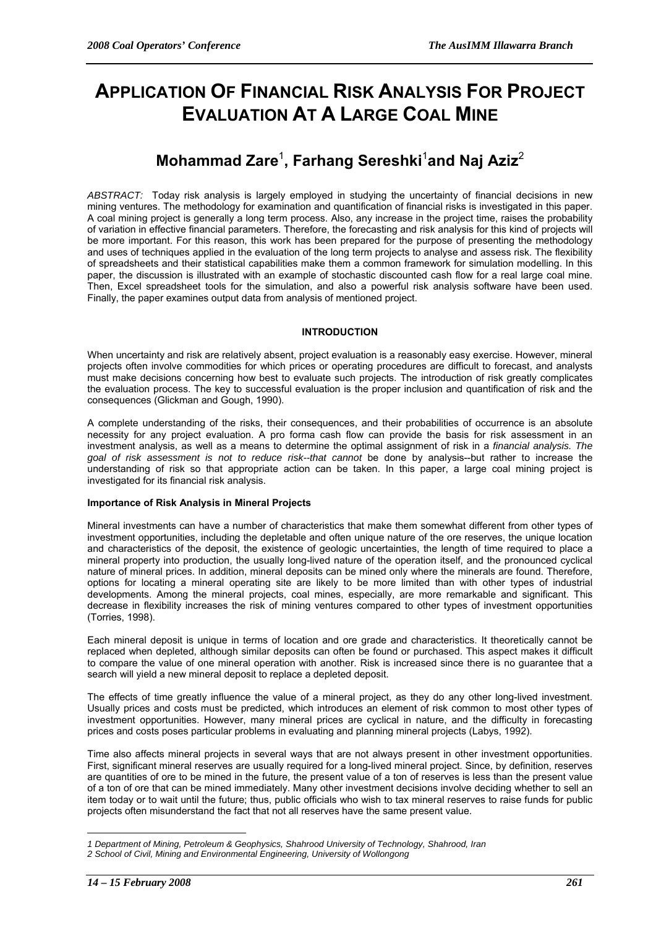# **APPLICATION OF FINANCIAL RISK ANALYSIS FOR PROJECT EVALUATION AT A LARGE COAL MINE**

# **Mohammad Zare**<sup>1</sup> **, Farhang Sereshki**<sup>1</sup> **and Naj Aziz**<sup>2</sup>

*ABSTRACT:* Today risk analysis is largely employed in studying the uncertainty of financial decisions in new mining ventures. The methodology for examination and quantification of financial risks is investigated in this paper. A coal mining project is generally a long term process. Also, any increase in the project time, raises the probability of variation in effective financial parameters. Therefore, the forecasting and risk analysis for this kind of projects will be more important. For this reason, this work has been prepared for the purpose of presenting the methodology and uses of techniques applied in the evaluation of the long term projects to analyse and assess risk. The flexibility of spreadsheets and their statistical capabilities make them a common framework for simulation modelling. In this paper, the discussion is illustrated with an example of stochastic discounted cash flow for a real large coal mine. Then, Excel spreadsheet tools for the simulation, and also a powerful risk analysis software have been used. Finally, the paper examines output data from analysis of mentioned project.

## **INTRODUCTION**

When uncertainty and risk are relatively absent, project evaluation is a reasonably easy exercise. However, mineral projects often involve commodities for which prices or operating procedures are difficult to forecast, and analysts must make decisions concerning how best to evaluate such projects. The introduction of risk greatly complicates the evaluation process. The key to successful evaluation is the proper inclusion and quantification of risk and the consequences (Glickman and Gough, 1990).

A complete understanding of the risks, their consequences, and their probabilities of occurrence is an absolute necessity for any project evaluation. A pro forma cash flow can provide the basis for risk assessment in an investment analysis, as well as a means to determine the optimal assignment of risk in a *financial analysis. The goal of risk assessment is not to reduce risk--that cannot* be done by analysis--but rather to increase the understanding of risk so that appropriate action can be taken. In this paper, a large coal mining project is investigated for its financial risk analysis.

### **Importance of Risk Analysis in Mineral Projects**

Mineral investments can have a number of characteristics that make them somewhat different from other types of investment opportunities, including the depletable and often unique nature of the ore reserves, the unique location and characteristics of the deposit, the existence of geologic uncertainties, the length of time required to place a mineral property into production, the usually long-lived nature of the operation itself, and the pronounced cyclical nature of mineral prices. In addition, mineral deposits can be mined only where the minerals are found. Therefore, options for locating a mineral operating site are likely to be more limited than with other types of industrial developments. Among the mineral projects, coal mines, especially, are more remarkable and significant. This decrease in flexibility increases the risk of mining ventures compared to other types of investment opportunities (Torries, 1998).

Each mineral deposit is unique in terms of location and ore grade and characteristics. It theoretically cannot be replaced when depleted, although similar deposits can often be found or purchased. This aspect makes it difficult to compare the value of one mineral operation with another. Risk is increased since there is no guarantee that a search will yield a new mineral deposit to replace a depleted deposit.

The effects of time greatly influence the value of a mineral project, as they do any other long-lived investment. Usually prices and costs must be predicted, which introduces an element of risk common to most other types of investment opportunities. However, many mineral prices are cyclical in nature, and the difficulty in forecasting prices and costs poses particular problems in evaluating and planning mineral projects (Labys, 1992).

Time also affects mineral projects in several ways that are not always present in other investment opportunities. First, significant mineral reserves are usually required for a long-lived mineral project. Since, by definition, reserves are quantities of ore to be mined in the future, the present value of a ton of reserves is less than the present value of a ton of ore that can be mined immediately. Many other investment decisions involve deciding whether to sell an item today or to wait until the future; thus, public officials who wish to tax mineral reserves to raise funds for public projects often misunderstand the fact that not all reserves have the same present value.

 $\overline{a}$ 

*<sup>1</sup> Department of Mining, Petroleum & Geophysics, Shahrood University of Technology, Shahrood, Iran* 

*<sup>2</sup> School of Civil, Mining and Environmental Engineering, University of Wollongong*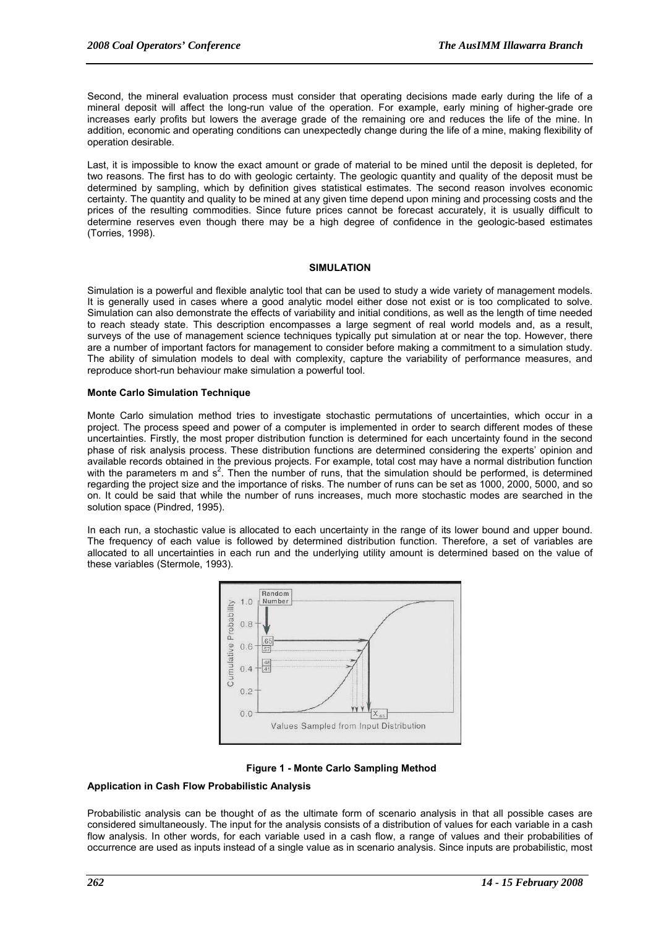Second, the mineral evaluation process must consider that operating decisions made early during the life of a mineral deposit will affect the long-run value of the operation. For example, early mining of higher-grade ore increases early profits but lowers the average grade of the remaining ore and reduces the life of the mine. In addition, economic and operating conditions can unexpectedly change during the life of a mine, making flexibility of operation desirable.

Last, it is impossible to know the exact amount or grade of material to be mined until the deposit is depleted, for two reasons. The first has to do with geologic certainty. The geologic quantity and quality of the deposit must be determined by sampling, which by definition gives statistical estimates. The second reason involves economic certainty. The quantity and quality to be mined at any given time depend upon mining and processing costs and the prices of the resulting commodities. Since future prices cannot be forecast accurately, it is usually difficult to determine reserves even though there may be a high degree of confidence in the geologic-based estimates (Torries, 1998).

#### **SIMULATION**

Simulation is a powerful and flexible analytic tool that can be used to study a wide variety of management models. It is generally used in cases where a good analytic model either dose not exist or is too complicated to solve. Simulation can also demonstrate the effects of variability and initial conditions, as well as the length of time needed to reach steady state. This description encompasses a large segment of real world models and, as a result, surveys of the use of management science techniques typically put simulation at or near the top. However, there are a number of important factors for management to consider before making a commitment to a simulation study. The ability of simulation models to deal with complexity, capture the variability of performance measures, and reproduce short-run behaviour make simulation a powerful tool.

#### **Monte Carlo Simulation Technique**

Monte Carlo simulation method tries to investigate stochastic permutations of uncertainties, which occur in a project. The process speed and power of a computer is implemented in order to search different modes of these uncertainties. Firstly, the most proper distribution function is determined for each uncertainty found in the second phase of risk analysis process. These distribution functions are determined considering the experts' opinion and available records obtained in the previous projects. For example, total cost may have a normal distribution function with the parameters m and  $s^2$ . Then the number of runs, that the simulation should be performed, is determined regarding the project size and the importance of risks. The number of runs can be set as 1000, 2000, 5000, and so on. It could be said that while the number of runs increases, much more stochastic modes are searched in the solution space (Pindred, 1995).

In each run, a stochastic value is allocated to each uncertainty in the range of its lower bound and upper bound. The frequency of each value is followed by determined distribution function. Therefore, a set of variables are allocated to all uncertainties in each run and the underlying utility amount is determined based on the value of these variables (Stermole, 1993).



#### **Figure 1 - Monte Carlo Sampling Method**

#### **Application in Cash Flow Probabilistic Analysis**

Probabilistic analysis can be thought of as the ultimate form of scenario analysis in that all possible cases are considered simultaneously. The input for the analysis consists of a distribution of values for each variable in a cash flow analysis. In other words, for each variable used in a cash flow, a range of values and their probabilities of occurrence are used as inputs instead of a single value as in scenario analysis. Since inputs are probabilistic, most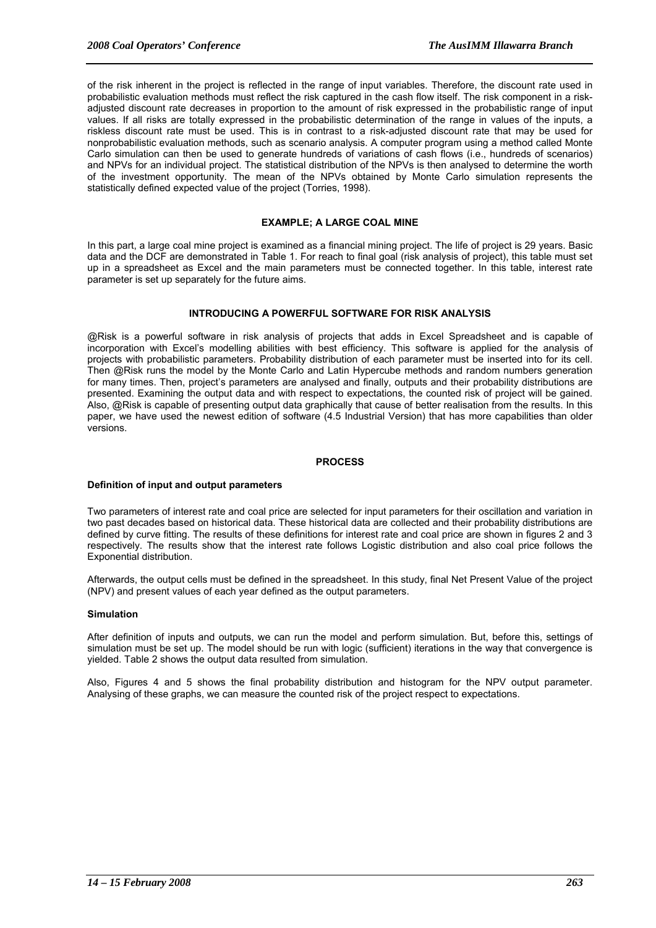of the risk inherent in the project is reflected in the range of input variables. Therefore, the discount rate used in probabilistic evaluation methods must reflect the risk captured in the cash flow itself. The risk component in a riskadjusted discount rate decreases in proportion to the amount of risk expressed in the probabilistic range of input values. If all risks are totally expressed in the probabilistic determination of the range in values of the inputs, a riskless discount rate must be used. This is in contrast to a risk-adjusted discount rate that may be used for nonprobabilistic evaluation methods, such as scenario analysis. A computer program using a method called Monte Carlo simulation can then be used to generate hundreds of variations of cash flows (i.e., hundreds of scenarios) and NPVs for an individual project. The statistical distribution of the NPVs is then analysed to determine the worth of the investment opportunity. The mean of the NPVs obtained by Monte Carlo simulation represents the statistically defined expected value of the project (Torries, 1998).

#### **EXAMPLE; A LARGE COAL MINE**

In this part, a large coal mine project is examined as a financial mining project. The life of project is 29 years. Basic data and the DCF are demonstrated in Table 1. For reach to final goal (risk analysis of project), this table must set up in a spreadsheet as Excel and the main parameters must be connected together. In this table, interest rate parameter is set up separately for the future aims.

#### **INTRODUCING A POWERFUL SOFTWARE FOR RISK ANALYSIS**

@Risk is a powerful software in risk analysis of projects that adds in Excel Spreadsheet and is capable of incorporation with Excel's modelling abilities with best efficiency. This software is applied for the analysis of projects with probabilistic parameters. Probability distribution of each parameter must be inserted into for its cell. Then @Risk runs the model by the Monte Carlo and Latin Hypercube methods and random numbers generation for many times. Then, project's parameters are analysed and finally, outputs and their probability distributions are presented. Examining the output data and with respect to expectations, the counted risk of project will be gained. Also, @Risk is capable of presenting output data graphically that cause of better realisation from the results. In this paper, we have used the newest edition of software (4.5 Industrial Version) that has more capabilities than older versions.

#### **PROCESS**

#### **Definition of input and output parameters**

Two parameters of interest rate and coal price are selected for input parameters for their oscillation and variation in two past decades based on historical data. These historical data are collected and their probability distributions are defined by curve fitting. The results of these definitions for interest rate and coal price are shown in figures 2 and 3 respectively. The results show that the interest rate follows Logistic distribution and also coal price follows the Exponential distribution.

Afterwards, the output cells must be defined in the spreadsheet. In this study, final Net Present Value of the project (NPV) and present values of each year defined as the output parameters.

#### **Simulation**

After definition of inputs and outputs, we can run the model and perform simulation. But, before this, settings of simulation must be set up. The model should be run with logic (sufficient) iterations in the way that convergence is yielded. Table 2 shows the output data resulted from simulation.

Also, Figures 4 and 5 shows the final probability distribution and histogram for the NPV output parameter. Analysing of these graphs, we can measure the counted risk of the project respect to expectations.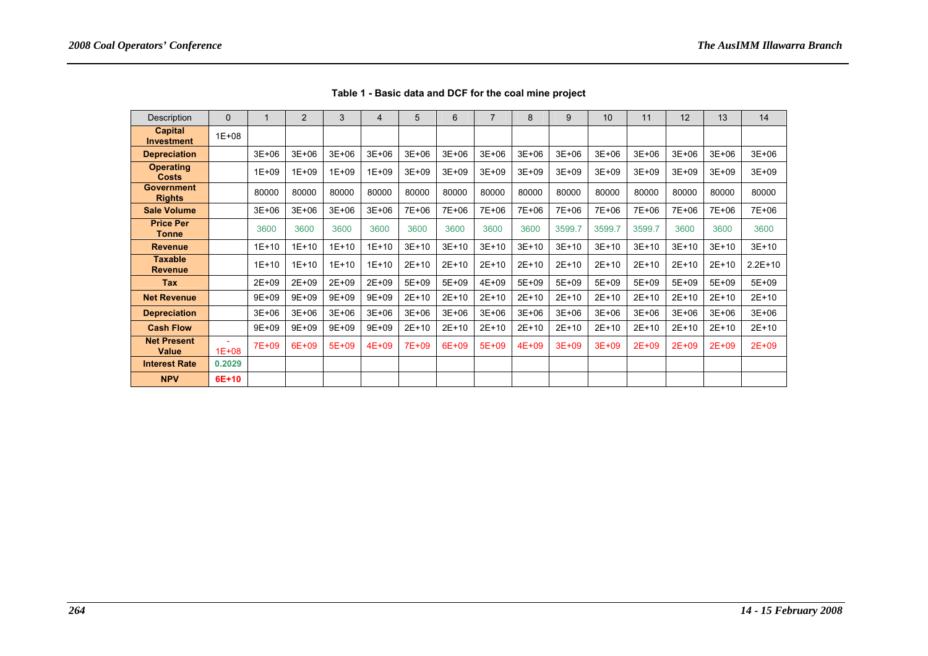| Description                        | 0         |           | $\overline{2}$ | 3         | 4         | 5         | 6       | $\overline{7}$ | 8         | 9       | 10      | 11        | 12        | 13        | 14        |
|------------------------------------|-----------|-----------|----------------|-----------|-----------|-----------|---------|----------------|-----------|---------|---------|-----------|-----------|-----------|-----------|
| Capital<br><b>Investment</b>       | $1E + 08$ |           |                |           |           |           |         |                |           |         |         |           |           |           |           |
| <b>Depreciation</b>                |           | $3E+06$   | $3E + 06$      | 3E+06     | $3E+06$   | $3E+06$   | 3E+06   | 3E+06          | $3E + 06$ | $3E+06$ | $3E+06$ | $3E+06$   | 3E+06     | 3E+06     | $3E+06$   |
| <b>Operating</b><br><b>Costs</b>   |           | $1E + 09$ | 1E+09          | $1E + 09$ | $1E + 09$ | $3E + 09$ | 3E+09   | 3E+09          | $3E + 09$ | $3E+09$ | $3E+09$ | 3E+09     | 3E+09     | 3E+09     | 3E+09     |
| <b>Government</b><br><b>Rights</b> |           | 80000     | 80000          | 80000     | 80000     | 80000     | 80000   | 80000          | 80000     | 80000   | 80000   | 80000     | 80000     | 80000     | 80000     |
| <b>Sale Volume</b>                 |           | $3E+06$   | $3E+06$        | 3E+06     | $3E+06$   | 7E+06     | 7E+06   | 7E+06          | 7E+06     | 7E+06   | 7E+06   | 7E+06     | 7E+06     | 7E+06     | 7E+06     |
| <b>Price Per</b><br><b>Tonne</b>   |           | 3600      | 3600           | 3600      | 3600      | 3600      | 3600    | 3600           | 3600      | 3599.7  | 3599.7  | 3599.7    | 3600      | 3600      | 3600      |
| <b>Revenue</b>                     |           | $1E+10$   | $1E+10$        | $1E+10$   | $1E+10$   | $3E+10$   | $3E+10$ | $3E+10$        | $3E+10$   | $3E+10$ | $3E+10$ | $3E+10$   | 3E+10     | $3E+10$   | $3E+10$   |
| <b>Taxable</b><br><b>Revenue</b>   |           | $1E + 10$ | $1E+10$        | $1E+10$   | $1E+10$   | $2E+10$   | $2E+10$ | 2E+10          | $2E+10$   | 2E+10   | 2E+10   | 2E+10     | 2E+10     | 2E+10     | $2.2E+10$ |
| <b>Tax</b>                         |           | 2E+09     | $2E + 09$      | 2E+09     | 2E+09     | 5E+09     | 5E+09   | 4E+09          | 5E+09     | 5E+09   | 5E+09   | 5E+09     | 5E+09     | 5E+09     | 5E+09     |
| <b>Net Revenue</b>                 |           | 9E+09     | $9E + 09$      | 9E+09     | 9E+09     | 2E+10     | $2E+10$ | 2E+10          | $2E+10$   | $2E+10$ | 2E+10   | 2E+10     | 2E+10     | 2E+10     | $2E+10$   |
| <b>Depreciation</b>                |           | $3E+06$   | $3E+06$        | 3E+06     | $3E+06$   | $3E+06$   | 3E+06   | 3E+06          | $3E+06$   | $3E+06$ | $3E+06$ | 3E+06     | 3E+06     | $3E+06$   | 3E+06     |
| <b>Cash Flow</b>                   |           | 9E+09     | 9E+09          | 9E+09     | 9E+09     | 2E+10     | $2E+10$ | 2E+10          | $2E+10$   | $2E+10$ | 2E+10   | 2E+10     | $2E+10$   | 2E+10     | $2E+10$   |
| <b>Net Present</b><br><b>Value</b> | $1E + 08$ | 7E+09     | 6E+09          | 5E+09     | 4E+09     | 7E+09     | 6E+09   | 5E+09          | $4E + 09$ | $3E+09$ | $3E+09$ | $2E + 09$ | $2E + 09$ | $2E + 09$ | 2E+09     |
| <b>Interest Rate</b>               | 0.2029    |           |                |           |           |           |         |                |           |         |         |           |           |           |           |
| <b>NPV</b>                         | 6E+10     |           |                |           |           |           |         |                |           |         |         |           |           |           |           |

**Table 1 - Basic data and DCF for the coal mine project**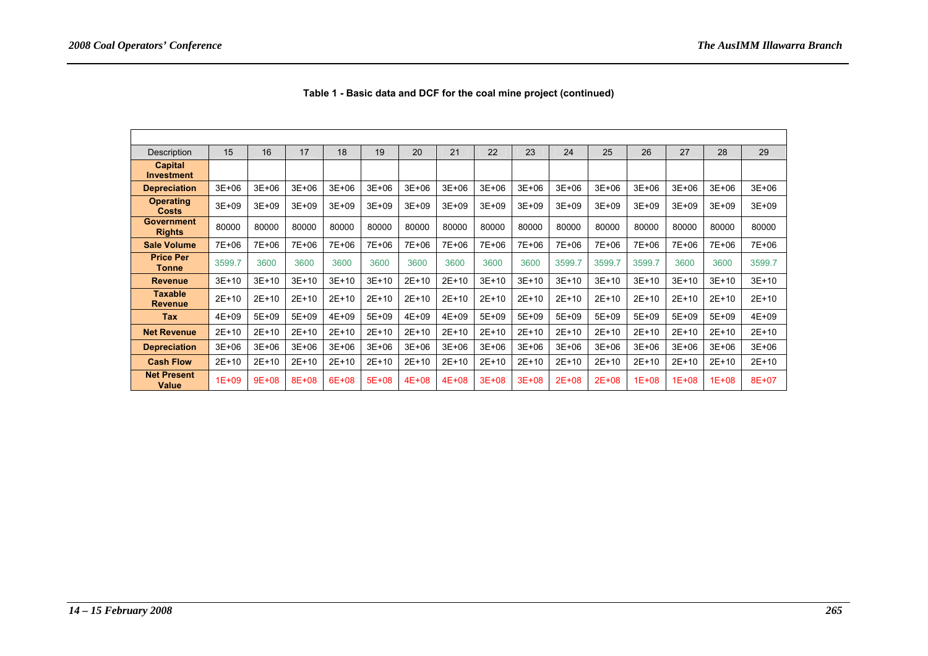| Description                         | 15        | 16        | 17        | 18        | 19      | 20        | 21        | 22        | 23        | 24      | 25        | 26        | 27        | 28        | 29        |
|-------------------------------------|-----------|-----------|-----------|-----------|---------|-----------|-----------|-----------|-----------|---------|-----------|-----------|-----------|-----------|-----------|
| <b>Capital</b><br><b>Investment</b> |           |           |           |           |         |           |           |           |           |         |           |           |           |           |           |
| <b>Depreciation</b>                 | 3E+06     | 3E+06     | $3E+06$   | $3E+06$   | 3E+06   | 3E+06     | 3E+06     | 3E+06     | $3E+06$   | 3E+06   | 3E+06     | $3E+06$   | 3E+06     | $3E+06$   | 3E+06     |
| <b>Operating</b><br><b>Costs</b>    | $3E+09$   | $3E + 09$ | $3E + 09$ | $3E+09$   | 3E+09   | $3E+09$   | $3E+09$   | $3E + 09$ | $3E + 09$ | 3E+09   | $3E+09$   | $3E + 09$ | $3E+09$   | $3E + 09$ | $3E+09$   |
| <b>Government</b><br><b>Rights</b>  | 80000     | 80000     | 80000     | 80000     | 80000   | 80000     | 80000     | 80000     | 80000     | 80000   | 80000     | 80000     | 80000     | 80000     | 80000     |
| <b>Sale Volume</b>                  | 7E+06     | 7E+06     | 7E+06     | 7E+06     | 7E+06   | 7E+06     | 7E+06     | 7E+06     | 7E+06     | 7E+06   | 7E+06     | 7E+06     | 7E+06     | 7E+06     | 7E+06     |
| <b>Price Per</b><br><b>Tonne</b>    | 3599.7    | 3600      | 3600      | 3600      | 3600    | 3600      | 3600      | 3600      | 3600      | 3599.7  | 3599.7    | 3599.7    | 3600      | 3600      | 3599.7    |
| <b>Revenue</b>                      | $3E+10$   | $3E+10$   | $3E+10$   | $3E+10$   | 3E+10   | 2E+10     | 2E+10     | $3E+10$   | $3E+10$   | $3E+10$ | $3E+10$   | $3E+10$   | $3E+10$   | $3E+10$   | $3E+10$   |
| Taxable<br><b>Revenue</b>           | 2E+10     | 2E+10     | 2E+10     | 2E+10     | 2E+10   | 2E+10     | 2E+10     | 2E+10     | 2E+10     | 2E+10   | $2E+10$   | 2E+10     | 2E+10     | 2E+10     | 2E+10     |
| Tax                                 | 4E+09     | 5E+09     | 5E+09     | $4E + 09$ | 5E+09   | $4E + 09$ | $4E + 09$ | 5E+09     | 5E+09     | 5E+09   | $5E+09$   | 5E+09     | 5E+09     | 5E+09     | $4E + 09$ |
| <b>Net Revenue</b>                  | 2E+10     | $2E+10$   | $2E+10$   | $2E+10$   | $2E+10$ | 2E+10     | 2E+10     | 2E+10     | 2E+10     | $2E+10$ | 2E+10     | 2E+10     | $2E+10$   | $2E+10$   | 2E+10     |
| <b>Depreciation</b>                 | 3E+06     | $3E+06$   | $3E+06$   | $3E+06$   | 3E+06   | $3E+06$   | 3E+06     | $3E+06$   | $3E+06$   | 3E+06   | $3E+06$   | $3E+06$   | $3E+06$   | $3E+06$   | 3E+06     |
| <b>Cash Flow</b>                    | 2E+10     | $2E+10$   | $2E+10$   | $2E+10$   | $2E+10$ | 2E+10     | 2E+10     | 2E+10     | $2E+10$   | 2E+10   | 2E+10     | 2E+10     | 2E+10     | $2E+10$   | 2E+10     |
| <b>Net Present</b><br><b>Value</b>  | $1E + 09$ | 9E+08     | $8E + 08$ | 6E+08     | $5E+08$ | $4E + 08$ | $4E + 08$ | $3E+08$   | $3E + 08$ | 2E+08   | $2E + 08$ | $1E + 08$ | $1E + 08$ | $1E + 08$ | 8E+07     |

**Table 1 - Basic data and DCF for the coal mine project (continued)**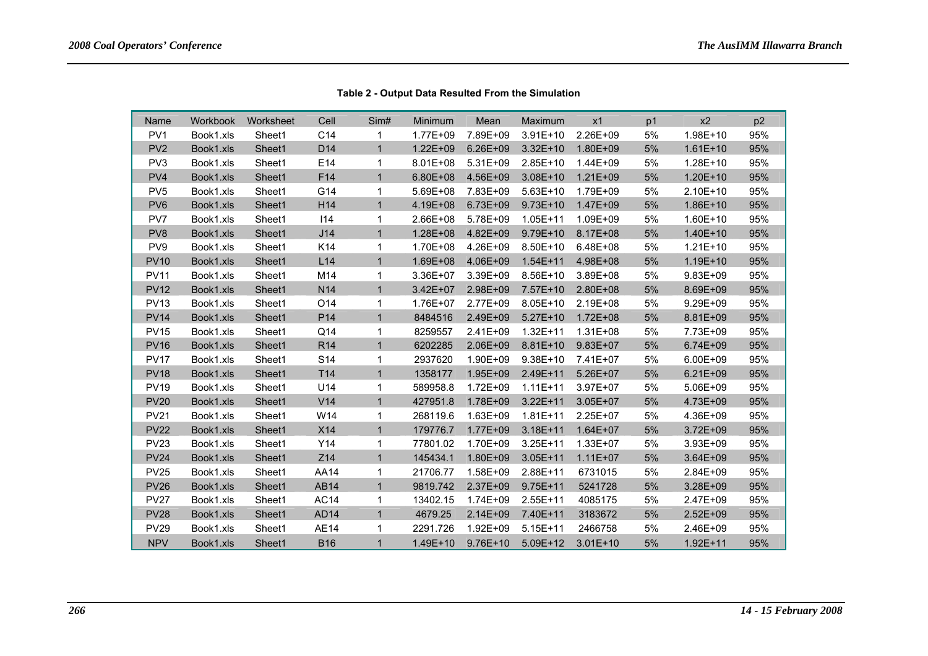| Name            | <b>Workbook</b> | Worksheet | Cell            | Sim#         | Minimum      | Mean       | Maximum      | x1           | p <sub>1</sub> | x2           | p2  |
|-----------------|-----------------|-----------|-----------------|--------------|--------------|------------|--------------|--------------|----------------|--------------|-----|
| PV1             | Book1.xls       | Sheet1    | C14             | 1            | 1.77E+09     | 7.89E+09   | $3.91E+10$   | 2.26E+09     | 5%             | 1.98E+10     | 95% |
| PV <sub>2</sub> | Book1.xls       | Sheet1    | D14             | 1            | $1.22E + 09$ | 6.26E+09   | $3.32E + 10$ | 1.80E+09     | $5%$           | $1.61E+10$   | 95% |
| PV <sub>3</sub> | Book1.xls       | Sheet1    | E14             | 1            | 8.01E+08     | 5.31E+09   | 2.85E+10     | 1.44E+09     | 5%             | $1.28E+10$   | 95% |
| PV4             | Book1.xls       | Sheet1    | F14             | $\mathbf{1}$ | 6.80E+08     | 4.56E+09   | $3.08E + 10$ | $1.21E + 09$ | 5%             | $1.20E + 10$ | 95% |
| PV <sub>5</sub> | Book1.xls       | Sheet1    | G14             | 1            | 5.69E+08     | 7.83E+09   | $5.63E+10$   | 1.79E+09     | 5%             | $2.10E+10$   | 95% |
| PV <sub>6</sub> | Book1.xls       | Sheet1    | H14             | $\mathbf{1}$ | 4.19E+08     | 6.73E+09   | $9.73E+10$   | $1.47E + 09$ | 5%             | $1.86E + 10$ | 95% |
| PV7             | Book1.xls       | Sheet1    | 114             | 1            | 2.66E+08     | 5.78E+09   | $1.05E + 11$ | 1.09E+09     | 5%             | $1.60E+10$   | 95% |
| PV <sub>8</sub> | Book1.xls       | Sheet1    | J14             | $\mathbf{1}$ | 1.28E+08     | 4.82E+09   | 9.79E+10     | 8.17E+08     | 5%             | 1.40E+10     | 95% |
| PV <sub>9</sub> | Book1.xls       | Sheet1    | K14             | 1            | 1.70E+08     | 4.26E+09   | 8.50E+10     | 6.48E+08     | 5%             | $1.21E+10$   | 95% |
| <b>PV10</b>     | Book1.xls       | Sheet1    | L14             | $\mathbf{1}$ | 1.69E+08     | 4.06E+09   | $1.54E + 11$ | 4.98E+08     | 5%             | 1.19E+10     | 95% |
| <b>PV11</b>     | Book1.xls       | Sheet1    | M14             | 1            | 3.36E+07     | 3.39E+09   | 8.56E+10     | 3.89E+08     | 5%             | $9.83E + 09$ | 95% |
| <b>PV12</b>     | Book1.xls       | Sheet1    | <b>N14</b>      | 1            | 3.42E+07     | 2.98E+09   | 7.57E+10     | 2.80E+08     | 5%             | 8.69E+09     | 95% |
| <b>PV13</b>     | Book1.xls       | Sheet1    | O14             | 1            | 1.76E+07     | 2.77E+09   | 8.05E+10     | 2.19E+08     | 5%             | 9.29E+09     | 95% |
| <b>PV14</b>     | Book1.xls       | Sheet1    | P <sub>14</sub> | $\mathbf{1}$ | 8484516      | 2.49E+09   | $5.27E+10$   | $1.72E + 08$ | 5%             | 8.81E+09     | 95% |
| <b>PV15</b>     | Book1.xls       | Sheet1    | Q14             | 1            | 8259557      | 2.41E+09   | $1.32E + 11$ | 1.31E+08     | 5%             | 7.73E+09     | 95% |
| <b>PV16</b>     | Book1.xls       | Sheet1    | <b>R14</b>      | $\mathbf{1}$ | 6202285      | 2.06E+09   | 8.81E+10     | $9.83E + 07$ | 5%             | 6.74E+09     | 95% |
| <b>PV17</b>     | Book1.xls       | Sheet1    | S14             | 1            | 2937620      | 1.90E+09   | 9.38E+10     | 7.41E+07     | 5%             | 6.00E+09     | 95% |
| <b>PV18</b>     | Book1.xls       | Sheet1    | T14             | 1            | 1358177      | 1.95E+09   | 2.49E+11     | 5.26E+07     | 5%             | $6.21E + 09$ | 95% |
| <b>PV19</b>     | Book1.xls       | Sheet1    | U14             | 1            | 589958.8     | 1.72E+09   | $1.11E + 11$ | 3.97E+07     | 5%             | 5.06E+09     | 95% |
| <b>PV20</b>     | Book1.xls       | Sheet1    | V14             | 1            | 427951.8     | 1.78E+09   | 3.22E+11     | $3.05E + 07$ | 5%             | 4.73E+09     | 95% |
| <b>PV21</b>     | Book1.xls       | Sheet1    | W14             | 1            | 268119.6     | 1.63E+09   | 1.81E+11     | 2.25E+07     | 5%             | 4.36E+09     | 95% |
| <b>PV22</b>     | Book1.xls       | Sheet1    | X14             | 1            | 179776.7     | 1.77E+09   | 3.18E+11     | $1.64E + 07$ | 5%             | 3.72E+09     | 95% |
| <b>PV23</b>     | Book1.xls       | Sheet1    | Y14             | 1            | 77801.02     | 1.70E+09   | 3.25E+11     | 1.33E+07     | 5%             | 3.93E+09     | 95% |
| <b>PV24</b>     | Book1.xls       | Sheet1    | Z14             | 1            | 145434.1     | 1.80E+09   | $3.05E + 11$ | $1.11E+07$   | 5%             | 3.64E+09     | 95% |
| <b>PV25</b>     | Book1.xls       | Sheet1    | <b>AA14</b>     | 1            | 21706.77     | 1.58E+09   | 2.88E+11     | 6731015      | 5%             | 2.84E+09     | 95% |
| <b>PV26</b>     | Book1.xls       | Sheet1    | <b>AB14</b>     | $\mathbf{1}$ | 9819.742     | 2.37E+09   | $9.75E + 11$ | 5241728      | 5%             | 3.28E+09     | 95% |
| <b>PV27</b>     | Book1.xls       | Sheet1    | <b>AC14</b>     | 1            | 13402.15     | 1.74E+09   | 2.55E+11     | 4085175      | 5%             | 2.47E+09     | 95% |
| <b>PV28</b>     | Book1.xls       | Sheet1    | <b>AD14</b>     | 1            | 4679.25      | 2.14E+09   | 7.40E+11     | 3183672      | 5%             | 2.52E+09     | 95% |
| <b>PV29</b>     | Book1.xls       | Sheet1    | <b>AE14</b>     | 1            | 2291.726     | 1.92E+09   | $5.15E+11$   | 2466758      | 5%             | 2.46E+09     | 95% |
| <b>NPV</b>      | Book1.xls       | Sheet1    | <b>B16</b>      | $\mathbf{1}$ | $1.49E + 10$ | $9.76E+10$ | $5.09E+12$   | $3.01E+10$   | 5%             | $1.92E + 11$ | 95% |

**Table 2 - Output Data Resulted From the Simulation**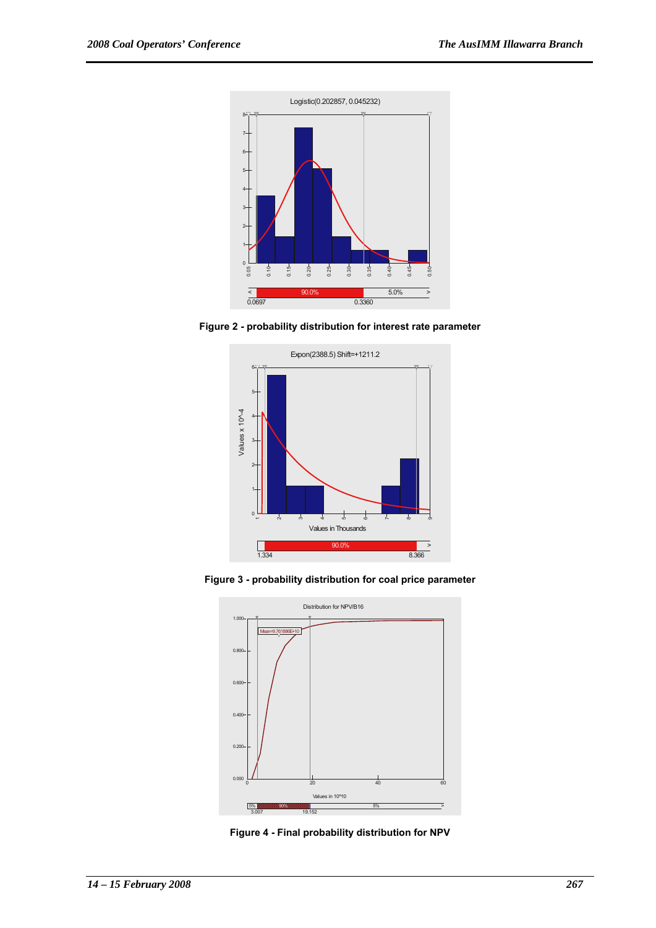

**Figure 2 - probability distribution for interest rate parameter** 



**Figure 3 - probability distribution for coal price parameter** 



**Figure 4 - Final probability distribution for NPV**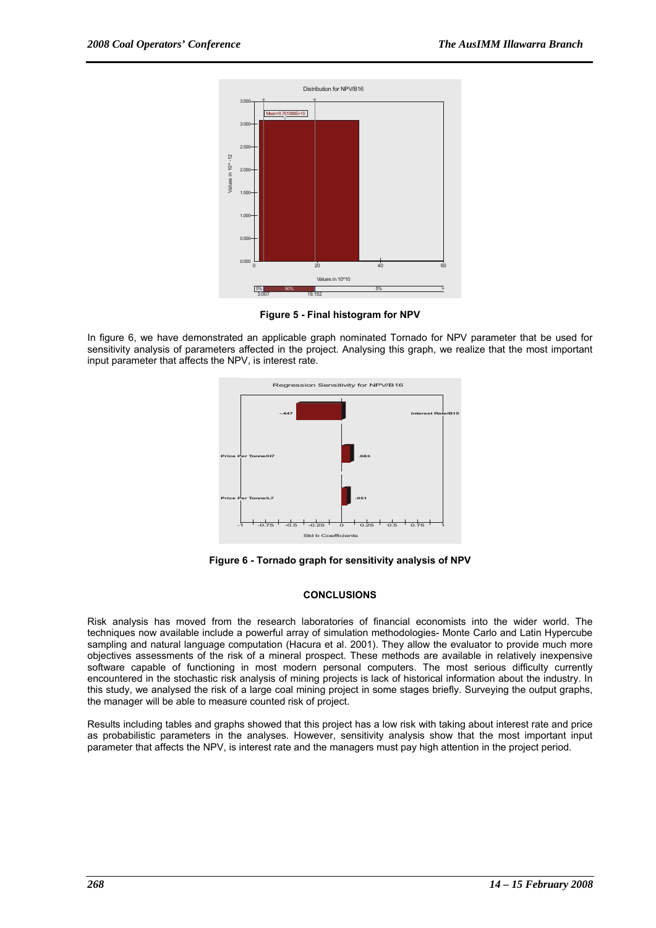

**Figure 5 - Final histogram for NPV** 

In figure 6, we have demonstrated an applicable graph nominated Tornado for NPV parameter that be used for sensitivity analysis of parameters affected in the project. Analysing this graph, we realize that the most important input parameter that affects the NPV, is interest rate.



**Figure 6 - Tornado graph for sensitivity analysis of NPV** 

## **CONCLUSIONS**

Risk analysis has moved from the research laboratories of financial economists into the wider world. The techniques now available include a powerful array of simulation methodologies- Monte Carlo and Latin Hypercube sampling and natural language computation (Hacura et al. 2001). They allow the evaluator to provide much more objectives assessments of the risk of a mineral prospect. These methods are available in relatively inexpensive software capable of functioning in most modern personal computers. The most serious difficulty currently encountered in the stochastic risk analysis of mining projects is lack of historical information about the industry. In this study, we analysed the risk of a large coal mining project in some stages briefly. Surveying the output graphs, the manager will be able to measure counted risk of project.

Results including tables and graphs showed that this project has a low risk with taking about interest rate and price as probabilistic parameters in the analyses. However, sensitivity analysis show that the most important input parameter that affects the NPV, is interest rate and the managers must pay high attention in the project period.